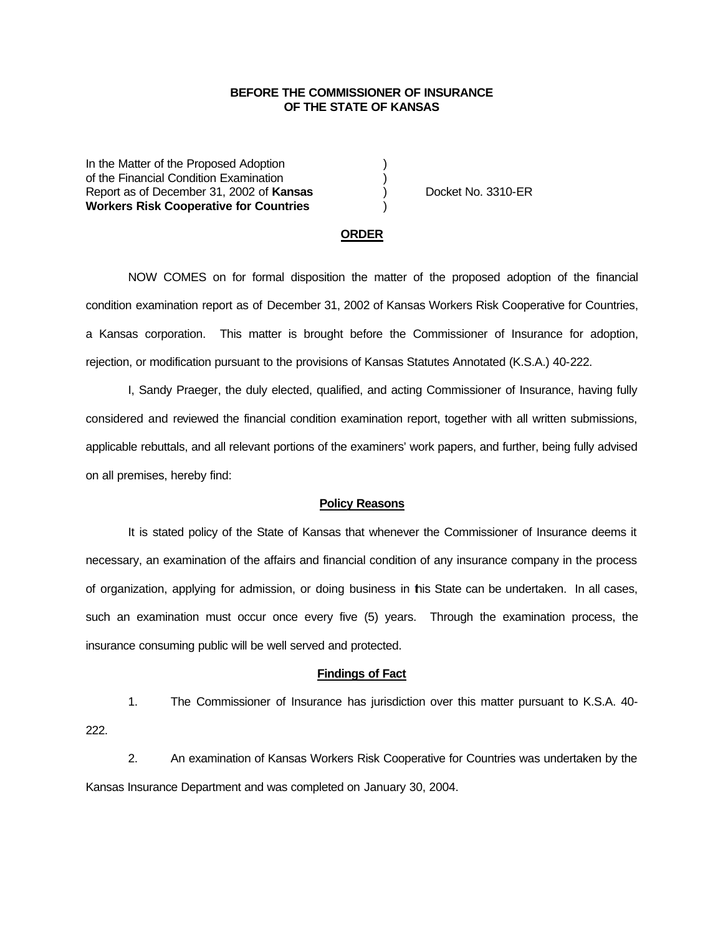## **BEFORE THE COMMISSIONER OF INSURANCE OF THE STATE OF KANSAS**

In the Matter of the Proposed Adoption of the Financial Condition Examination ) Report as of December 31, 2002 of **Kansas** ) Docket No. 3310-ER **Workers Risk Cooperative for Countries** )

### **ORDER**

NOW COMES on for formal disposition the matter of the proposed adoption of the financial condition examination report as of December 31, 2002 of Kansas Workers Risk Cooperative for Countries, a Kansas corporation. This matter is brought before the Commissioner of Insurance for adoption, rejection, or modification pursuant to the provisions of Kansas Statutes Annotated (K.S.A.) 40-222.

I, Sandy Praeger, the duly elected, qualified, and acting Commissioner of Insurance, having fully considered and reviewed the financial condition examination report, together with all written submissions, applicable rebuttals, and all relevant portions of the examiners' work papers, and further, being fully advised on all premises, hereby find:

#### **Policy Reasons**

It is stated policy of the State of Kansas that whenever the Commissioner of Insurance deems it necessary, an examination of the affairs and financial condition of any insurance company in the process of organization, applying for admission, or doing business in this State can be undertaken. In all cases, such an examination must occur once every five (5) years. Through the examination process, the insurance consuming public will be well served and protected.

#### **Findings of Fact**

1. The Commissioner of Insurance has jurisdiction over this matter pursuant to K.S.A. 40- 222.

2. An examination of Kansas Workers Risk Cooperative for Countries was undertaken by the Kansas Insurance Department and was completed on January 30, 2004.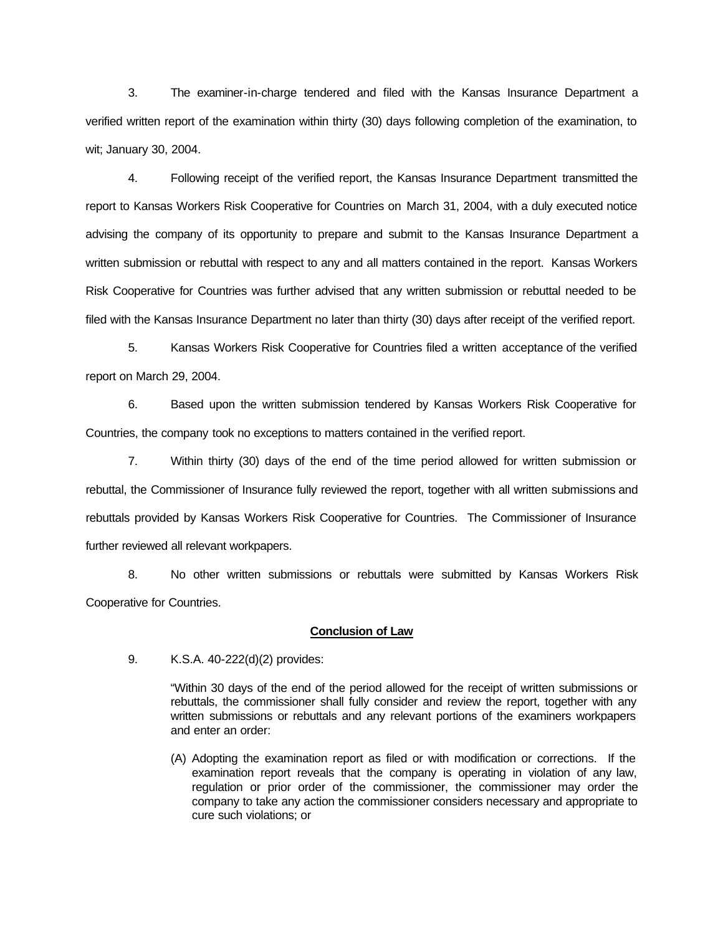3. The examiner-in-charge tendered and filed with the Kansas Insurance Department a verified written report of the examination within thirty (30) days following completion of the examination, to wit; January 30, 2004.

4. Following receipt of the verified report, the Kansas Insurance Department transmitted the report to Kansas Workers Risk Cooperative for Countries on March 31, 2004, with a duly executed notice advising the company of its opportunity to prepare and submit to the Kansas Insurance Department a written submission or rebuttal with respect to any and all matters contained in the report. Kansas Workers Risk Cooperative for Countries was further advised that any written submission or rebuttal needed to be filed with the Kansas Insurance Department no later than thirty (30) days after receipt of the verified report.

5. Kansas Workers Risk Cooperative for Countries filed a written acceptance of the verified report on March 29, 2004.

6. Based upon the written submission tendered by Kansas Workers Risk Cooperative for Countries, the company took no exceptions to matters contained in the verified report.

7. Within thirty (30) days of the end of the time period allowed for written submission or rebuttal, the Commissioner of Insurance fully reviewed the report, together with all written submissions and rebuttals provided by Kansas Workers Risk Cooperative for Countries. The Commissioner of Insurance further reviewed all relevant workpapers.

8. No other written submissions or rebuttals were submitted by Kansas Workers Risk Cooperative for Countries.

### **Conclusion of Law**

9. K.S.A. 40-222(d)(2) provides:

"Within 30 days of the end of the period allowed for the receipt of written submissions or rebuttals, the commissioner shall fully consider and review the report, together with any written submissions or rebuttals and any relevant portions of the examiners workpapers and enter an order:

(A) Adopting the examination report as filed or with modification or corrections. If the examination report reveals that the company is operating in violation of any law, regulation or prior order of the commissioner, the commissioner may order the company to take any action the commissioner considers necessary and appropriate to cure such violations; or